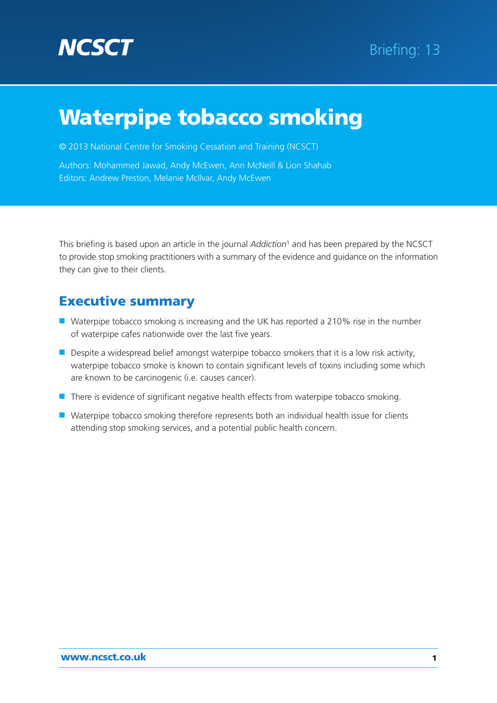

© 2013 National Centre for Smoking Cessation and Training (NCSCT)

Authors: Mohammed Jawad, Andy McEwen, Ann McNeill & Lion Shahab Editors: Andrew Preston, Melanie McIlvar, Andy McEwen

This briefing is based upon an article in the journal *Addiction*1 and has been prepared by the NCSCT to provide stop smoking practitioners with a summary of the evidence and guidance on the information they can give to their clients.

# Executive summary

- Waterpipe tobacco smoking is increasing and the UK has reported a 210% rise in the number of waterpipe cafes nationwide over the last five years.
- Despite a widespread belief amongst waterpipe tobacco smokers that it is a low risk activity, waterpipe tobacco smoke is known to contain significant levels of toxins including some which are known to be carcinogenic (i.e. causes cancer).
- There is evidence of significant negative health effects from waterpipe tobacco smoking.
- Waterpipe tobacco smoking therefore represents both an individual health issue for clients attending stop smoking services, and a potential public health concern.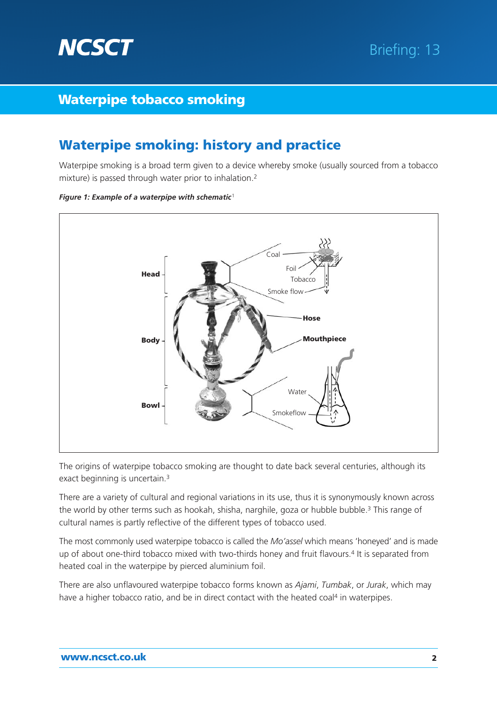

# Waterpipe smoking: history and practice

Waterpipe smoking is a broad term given to a device whereby smoke (usually sourced from a tobacco mixture) is passed through water prior to inhalation.2



*Figure 1: Example of a waterpipe with schematic*<sup>1</sup>

The origins of waterpipe tobacco smoking are thought to date back several centuries, although its exact beginning is uncertain.3

There are a variety of cultural and regional variations in its use, thus it is synonymously known across the world by other terms such as hookah, shisha, narghile, goza or hubble bubble.<sup>3</sup> This range of cultural names is partly reflective of the different types of tobacco used.

The most commonly used waterpipe tobacco is called the *Mo'assel* which means 'honeyed' and is made up of about one-third tobacco mixed with two-thirds honey and fruit flavours.<sup>4</sup> It is separated from heated coal in the waterpipe by pierced aluminium foil.

There are also unflavoured waterpipe tobacco forms known as *Ajami*, *Tumbak*, or *Jurak*, which may have a higher tobacco ratio, and be in direct contact with the heated coal<sup>4</sup> in waterpipes.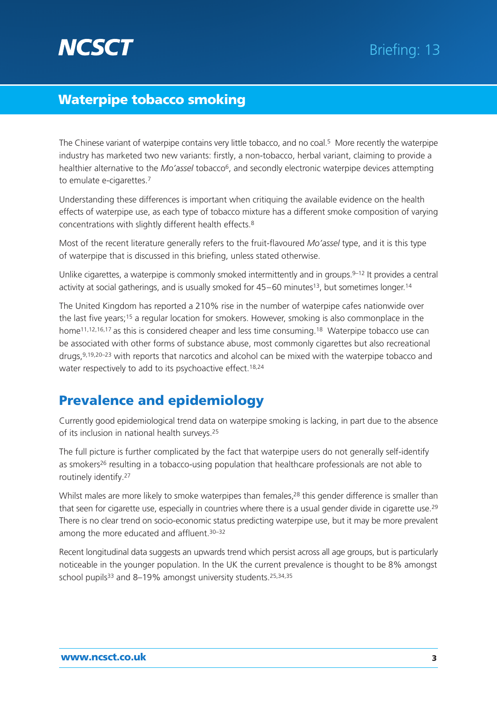

The Chinese variant of waterpipe contains very little tobacco, and no coal.5 More recently the waterpipe industry has marketed two new variants: firstly, a non-tobacco, herbal variant, claiming to provide a healthier alternative to the *Mo'assel* tobacco<sup>6</sup>, and secondly electronic waterpipe devices attempting to emulate e-cigarettes.<sup>7</sup>

Understanding these differences is important when critiquing the available evidence on the health effects of waterpipe use, as each type of tobacco mixture has a different smoke composition of varying concentrations with slightly different health effects.8

Most of the recent literature generally refers to the fruit-flavoured *Mo'assel* type, and it is this type of waterpipe that is discussed in this briefing, unless stated otherwise.

Unlike cigarettes, a waterpipe is commonly smoked intermittently and in groups.<sup>9–12</sup> It provides a central activity at social gatherings, and is usually smoked for 45–60 minutes<sup>13</sup>, but sometimes longer.<sup>14</sup>

The United Kingdom has reported a 210% rise in the number of waterpipe cafes nationwide over the last five years;<sup>15</sup> a regular location for smokers. However, smoking is also commonplace in the home<sup>11,12,16,17</sup> as this is considered cheaper and less time consuming.<sup>18</sup> Waterpipe tobacco use can be associated with other forms of substance abuse, most commonly cigarettes but also recreational drugs,<sup>9,19,20–23</sup> with reports that narcotics and alcohol can be mixed with the waterpipe tobacco and water respectively to add to its psychoactive effect.<sup>18,24</sup>

# Prevalence and epidemiology

Currently good epidemiological trend data on waterpipe smoking is lacking, in part due to the absence of its inclusion in national health surveys.25

The full picture is further complicated by the fact that waterpipe users do not generally self-identify as smokers<sup>26</sup> resulting in a tobacco-using population that healthcare professionals are not able to routinely identify.27

Whilst males are more likely to smoke waterpipes than females,<sup>28</sup> this gender difference is smaller than that seen for cigarette use, especially in countries where there is a usual gender divide in cigarette use.<sup>29</sup> There is no clear trend on socio-economic status predicting waterpipe use, but it may be more prevalent among the more educated and affluent.<sup>30-32</sup>

Recent longitudinal data suggests an upwards trend which persist across all age groups, but is particularly noticeable in the younger population. In the UK the current prevalence is thought to be 8% amongst school pupils<sup>33</sup> and 8-19% amongst university students.<sup>25,34,35</sup>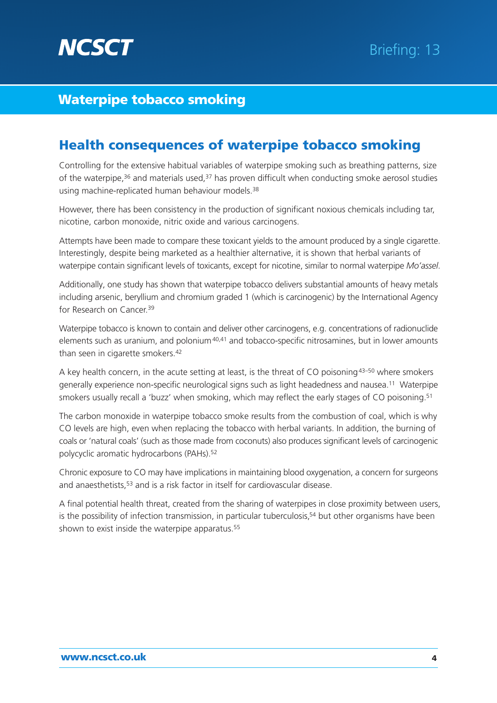

# Health consequences of waterpipe tobacco smoking

Controlling for the extensive habitual variables of waterpipe smoking such as breathing patterns, size of the waterpipe, $36$  and materials used,  $37$  has proven difficult when conducting smoke aerosol studies using machine-replicated human behaviour models.<sup>38</sup>

However, there has been consistency in the production of significant noxious chemicals including tar, nicotine, carbon monoxide, nitric oxide and various carcinogens.

Attempts have been made to compare these toxicant yields to the amount produced by a single cigarette. Interestingly, despite being marketed as a healthier alternative, it is shown that herbal variants of waterpipe contain significant levels of toxicants, except for nicotine, similar to normal waterpipe *Mo'assel*.

Additionally, one study has shown that waterpipe tobacco delivers substantial amounts of heavy metals including arsenic, beryllium and chromium graded 1 (which is carcinogenic) by the International Agency for Research on Cancer.<sup>39</sup>

Waterpipe tobacco is known to contain and deliver other carcinogens, e.g. concentrations of radionuclide elements such as uranium, and polonium<sup>40,41</sup> and tobacco-specific nitrosamines, but in lower amounts than seen in cigarette smokers.42

A key health concern, in the acute setting at least, is the threat of CO poisoning<sup>43–50</sup> where smokers generally experience non-specific neurological signs such as light headedness and nausea.11 Waterpipe smokers usually recall a 'buzz' when smoking, which may reflect the early stages of CO poisoning.<sup>51</sup>

The carbon monoxide in waterpipe tobacco smoke results from the combustion of coal, which is why CO levels are high, even when replacing the tobacco with herbal variants. In addition, the burning of coals or 'natural coals' (such as those made from coconuts) also produces significant levels of carcinogenic polycyclic aromatic hydrocarbons (PAHs).52

Chronic exposure to CO may have implications in maintaining blood oxygenation, a concern for surgeons and anaesthetists,<sup>53</sup> and is a risk factor in itself for cardiovascular disease.

A final potential health threat, created from the sharing of waterpipes in close proximity between users, is the possibility of infection transmission, in particular tuberculosis,<sup>54</sup> but other organisms have been shown to exist inside the waterpipe apparatus.<sup>55</sup>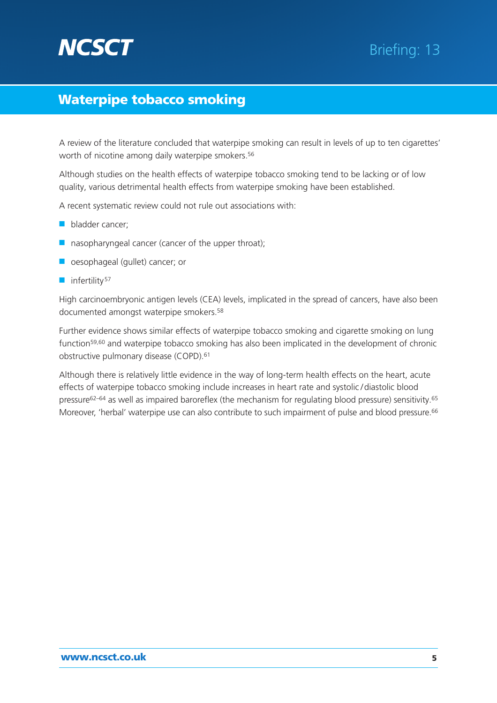# **NCSCT**

# Waterpipe tobacco smoking

A review of the literature concluded that waterpipe smoking can result in levels of up to ten cigarettes' worth of nicotine among daily waterpipe smokers.<sup>56</sup>

Although studies on the health effects of waterpipe tobacco smoking tend to be lacking or of low quality, various detrimental health effects from waterpipe smoking have been established.

A recent systematic review could not rule out associations with:

- bladder cancer:
- nasopharyngeal cancer (cancer of the upper throat);
- oesophageal (gullet) cancer; or
- infertility<sup>57</sup>

High carcinoembryonic antigen levels (CEA) levels, implicated in the spread of cancers, have also been documented amongst waterpipe smokers.58

Further evidence shows similar effects of waterpipe tobacco smoking and cigarette smoking on lung function59,60 and waterpipe tobacco smoking has also been implicated in the development of chronic obstructive pulmonary disease (COPD).61

Although there is relatively little evidence in the way of long-term health effects on the heart, acute effects of waterpipe tobacco smoking include increases in heart rate and systolic / diastolic blood pressure62–64 as well as impaired baroreflex (the mechanism for regulating blood pressure) sensitivity.65 Moreover, 'herbal' waterpipe use can also contribute to such impairment of pulse and blood pressure.<sup>66</sup>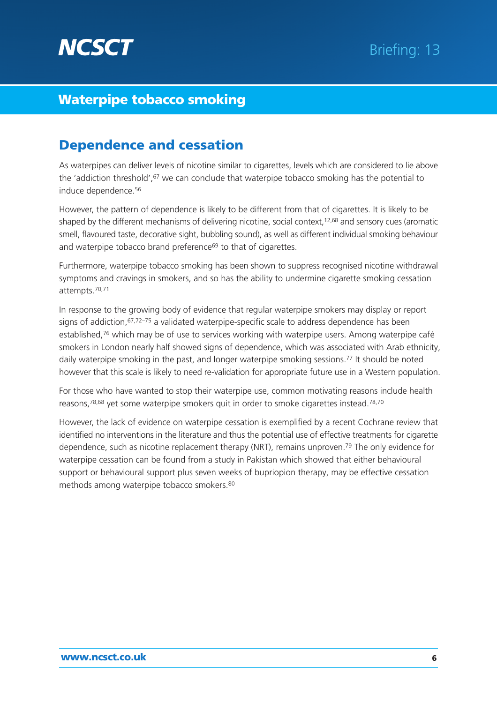

# Dependence and cessation

As waterpipes can deliver levels of nicotine similar to cigarettes, levels which are considered to lie above the 'addiction threshold', <sup>67</sup> we can conclude that waterpipe tobacco smoking has the potential to induce dependence.56

However, the pattern of dependence is likely to be different from that of cigarettes. It is likely to be shaped by the different mechanisms of delivering nicotine, social context,<sup>12,68</sup> and sensory cues (aromatic smell, flavoured taste, decorative sight, bubbling sound), as well as different individual smoking behaviour and waterpipe tobacco brand preference<sup>69</sup> to that of cigarettes.

Furthermore, waterpipe tobacco smoking has been shown to suppress recognised nicotine withdrawal symptoms and cravings in smokers, and so has the ability to undermine cigarette smoking cessation attempts.70,71

In response to the growing body of evidence that regular waterpipe smokers may display or report signs of addiction, $67.72-75$  a validated waterpipe-specific scale to address dependence has been established.<sup>76</sup> which may be of use to services working with waterpipe users. Among waterpipe café smokers in London nearly half showed signs of dependence, which was associated with Arab ethnicity, daily waterpipe smoking in the past, and longer waterpipe smoking sessions.<sup>77</sup> It should be noted however that this scale is likely to need re-validation for appropriate future use in a Western population.

For those who have wanted to stop their waterpipe use, common motivating reasons include health reasons,<sup>78,68</sup> yet some waterpipe smokers quit in order to smoke cigarettes instead.<sup>78,70</sup>

However, the lack of evidence on waterpipe cessation is exemplified by a recent Cochrane review that identified no interventions in the literature and thus the potential use of effective treatments for cigarette dependence, such as nicotine replacement therapy (NRT), remains unproven.<sup>79</sup> The only evidence for waterpipe cessation can be found from a study in Pakistan which showed that either behavioural support or behavioural support plus seven weeks of bupriopion therapy, may be effective cessation methods among waterpipe tobacco smokers.80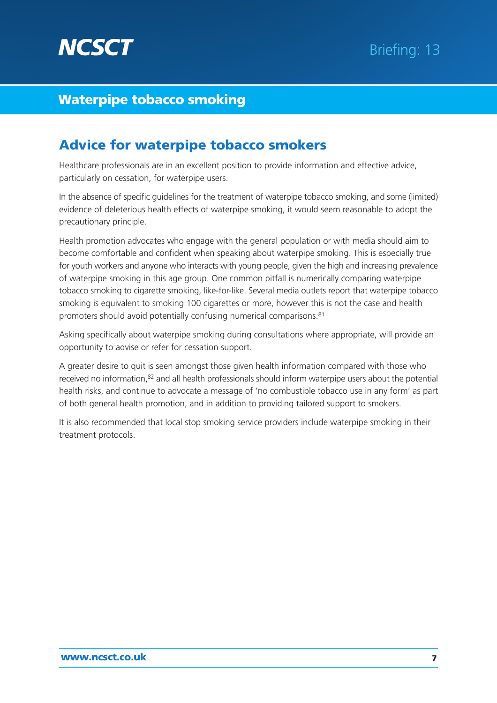

# Advice for waterpipe tobacco smokers

Healthcare professionals are in an excellent position to provide information and effective advice, particularly on cessation, for waterpipe users.

In the absence of specific guidelines for the treatment of waterpipe tobacco smoking, and some (limited) evidence of deleterious health effects of waterpipe smoking, it would seem reasonable to adopt the precautionary principle.

Health promotion advocates who engage with the general population or with media should aim to become comfortable and confident when speaking about waterpipe smoking. This is especially true for youth workers and anyone who interacts with young people, given the high and increasing prevalence of waterpipe smoking in this age group. One common pitfall is numerically comparing waterpipe tobacco smoking to cigarette smoking, like-for-like. Several media outlets report that waterpipe tobacco smoking is equivalent to smoking 100 cigarettes or more, however this is not the case and health promoters should avoid potentially confusing numerical comparisons.81

Asking specifically about waterpipe smoking during consultations where appropriate, will provide an opportunity to advise or refer for cessation support.

A greater desire to quit is seen amongst those given health information compared with those who received no information,82 and all health professionals should inform waterpipe users about the potential health risks, and continue to advocate a message of 'no combustible tobacco use in any form' as part of both general health promotion, and in addition to providing tailored support to smokers.

It is also recommended that local stop smoking service providers include waterpipe smoking in their treatment protocols.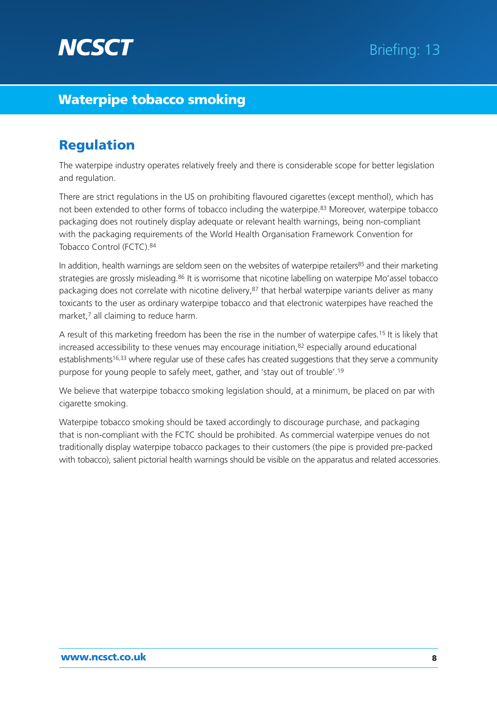

# Regulation

The waterpipe industry operates relatively freely and there is considerable scope for better legislation and regulation.

There are strict regulations in the US on prohibiting flavoured cigarettes (except menthol), which has not been extended to other forms of tobacco including the waterpipe.83 Moreover, waterpipe tobacco packaging does not routinely display adequate or relevant health warnings, being non-compliant with the packaging requirements of the World Health Organisation Framework Convention for Tobacco Control (FCTC).84

In addition, health warnings are seldom seen on the websites of waterpipe retailers<sup>85</sup> and their marketing strategies are grossly misleading.<sup>86</sup> It is worrisome that nicotine labelling on waterpipe Mo'assel tobacco packaging does not correlate with nicotine delivery,<sup>87</sup> that herbal waterpipe variants deliver as many toxicants to the user as ordinary waterpipe tobacco and that electronic waterpipes have reached the market.<sup>7</sup> all claiming to reduce harm.

A result of this marketing freedom has been the rise in the number of waterpipe cafes.15 It is likely that increased accessibility to these venues may encourage initiation, $82$  especially around educational establishments<sup>16,33</sup> where regular use of these cafes has created suggestions that they serve a community purpose for young people to safely meet, gather, and 'stay out of trouble'.19

We believe that waterpipe tobacco smoking legislation should, at a minimum, be placed on par with cigarette smoking.

Waterpipe tobacco smoking should be taxed accordingly to discourage purchase, and packaging that is non-compliant with the FCTC should be prohibited. As commercial waterpipe venues do not traditionally display waterpipe tobacco packages to their customers (the pipe is provided pre-packed with tobacco), salient pictorial health warnings should be visible on the apparatus and related accessories.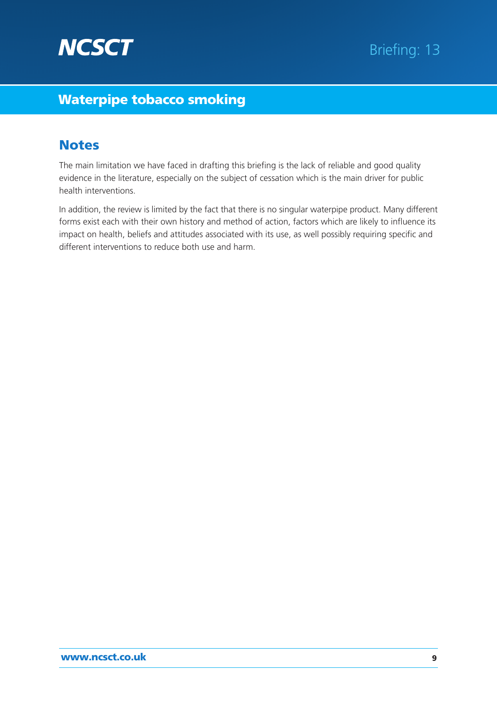

# **Notes**

The main limitation we have faced in drafting this briefing is the lack of reliable and good quality evidence in the literature, especially on the subject of cessation which is the main driver for public health interventions.

In addition, the review is limited by the fact that there is no singular waterpipe product. Many different forms exist each with their own history and method of action, factors which are likely to influence its impact on health, beliefs and attitudes associated with its use, as well possibly requiring specific and different interventions to reduce both use and harm.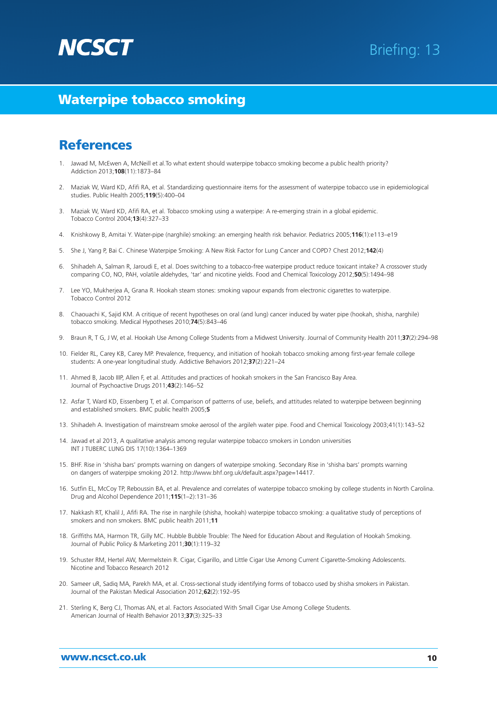

### **References**

- Jawad M, McEwen A, McNeill et al.To what extent should waterpipe tobacco smoking become a public health priority? Addiction 2013;**108**(11):1873–84
- 2. Maziak W, Ward KD, Afifi RA, et al. Standardizing questionnaire items for the assessment of waterpipe tobacco use in epidemiological studies. Public Health 2005;**119**(5):400–04
- 3. Maziak W, Ward KD, Afifi RA, et al. Tobacco smoking using a waterpipe: A re-emerging strain in a global epidemic. Tobacco Control 2004;**13**(4):327–33
- 4. Knishkowy B, Amitai Y. Water-pipe (narghile) smoking: an emerging health risk behavior. Pediatrics 2005;**116**(1):e113–e19
- 5. She J, Yang P, Bai C. Chinese Waterpipe Smoking: A New Risk Factor for Lung Cancer and COPD? Chest 2012;**142**(4)
- 6. Shihadeh A, Salman R, Jaroudi E, et al. Does switching to a tobacco-free waterpipe product reduce toxicant intake? A crossover study comparing CO, NO, PAH, volatile aldehydes, 'tar' and nicotine yields. Food and Chemical Toxicology 2012;**50**(5):1494–98
- 7. Lee YO, Mukherjea A, Grana R. Hookah steam stones: smoking vapour expands from electronic cigarettes to waterpipe. Tobacco Control 2012
- 8. Chaouachi K, Sajid KM. A critique of recent hypotheses on oral (and lung) cancer induced by water pipe (hookah, shisha, narghile) tobacco smoking. Medical Hypotheses 2010;**74**(5):843–46
- 9. Braun R, T G, J W, et al. Hookah Use Among College Students from a Midwest University. Journal of Community Health 2011;**37**(2):294–98
- 10. Fielder RL, Carey KB, Carey MP. Prevalence, frequency, and initiation of hookah tobacco smoking among first-year female college students: A one-year longitudinal study. Addictive Behaviors 2012;**37**(2):221–24
- 11. Ahmed B, Jacob IIIP, Allen F, et al. Attitudes and practices of hookah smokers in the San Francisco Bay Area. Journal of Psychoactive Drugs 2011;**43**(2):146–52
- 12. Asfar T, Ward KD, Eissenberg T, et al. Comparison of patterns of use, beliefs, and attitudes related to waterpipe between beginning and established smokers. BMC public health 2005;**5**
- 13. Shihadeh A. Investigation of mainstream smoke aerosol of the argileh water pipe. Food and Chemical Toxicology 2003;41(1):143–52
- 14. Jawad et al 2013, A qualitative analysis among regular waterpipe tobacco smokers in London universities INT J TUBERC LUNG DIS 17(10):1364–1369
- 15. BHF. Rise in 'shisha bars' prompts warning on dangers of waterpipe smoking. Secondary Rise in 'shisha bars' prompts warning on dangers of waterpipe smoking 2012. http://www.bhf.org.uk/default.aspx?page=14417.
- 16. Sutfin EL, McCoy TP, Reboussin BA, et al. Prevalence and correlates of waterpipe tobacco smoking by college students in North Carolina. Drug and Alcohol Dependence 2011;**115**(1–2):131–36
- 17. Nakkash RT, Khalil J, Afifi RA. The rise in narghile (shisha, hookah) waterpipe tobacco smoking: a qualitative study of perceptions of smokers and non smokers. BMC public health 2011;**11**
- 18. Griffiths MA, Harmon TR, Gilly MC. Hubble Bubble Trouble: The Need for Education About and Regulation of Hookah Smoking. Journal of Public Policy & Marketing 2011;**30**(1):119–32
- 19. Schuster RM, Hertel AW, Mermelstein R. Cigar, Cigarillo, and Little Cigar Use Among Current Cigarette-Smoking Adolescents. Nicotine and Tobacco Research 2012
- 20. Sameer uR, Sadiq MA, Parekh MA, et al. Cross-sectional study identifying forms of tobacco used by shisha smokers in Pakistan. Journal of the Pakistan Medical Association 2012;**62**(2):192–95
- 21. Sterling K, Berg CJ, Thomas AN, et al. Factors Associated With Small Cigar Use Among College Students. American Journal of Health Behavior 2013;**37**(3):325–33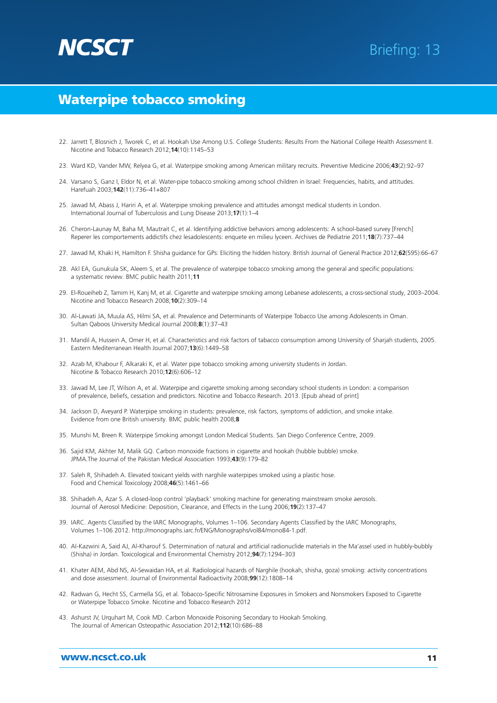

- 22. Jarrett T, Blosnich J, Tworek C, et al. Hookah Use Among U.S. College Students: Results From the National College Health Assessment II. Nicotine and Tobacco Research 2012;**14**(10):1145–53
- 23. Ward KD, Vander MW, Relyea G, et al. Waterpipe smoking among American military recruits. Preventive Medicine 2006;**43**(2):92–97
- 24. Varsano S, Ganz I, Eldor N, et al. Water-pipe tobacco smoking among school children in Israel: Frequencies, habits, and attitudes. Harefuah 2003;**142**(11):736–41+807
- 25. Jawad M, Abass J, Hariri A, et al. Waterpipe smoking prevalence and attitudes amongst medical students in London. International Journal of Tuberculosis and Lung Disease 2013;**17**(1):1–4
- 26. Cheron-Launay M, Baha M, Mautrait C, et al. Identifying addictive behaviors among adolescents: A school-based survey [French] Reperer les comportements addictifs chez lesadolescents: enquete en milieu lyceen. Archives de Pediatrie 2011;**18**(7):737–44
- 27. Jawad M, Khaki H, Hamilton F. Shisha guidance for GPs: Eliciting the hidden history. British Journal of General Practice 2012;**62**(595):66–67
- 28. Akl EA, Gunukula SK, Aleem S, et al. The prevalence of waterpipe tobacco smoking among the general and specific populations: a systematic review. BMC public health 2011;**11**
- 29. El-Roueiheb Z, Tamim H, Kanj M, et al. Cigarette and waterpipe smoking among Lebanese adolescents, a cross-sectional study, 2003–2004. Nicotine and Tobacco Research 2008;**10**(2):309–14
- 30. Al-Lawati JA, Muula AS, Hilmi SA, et al. Prevalence and Determinants of Waterpipe Tobacco Use among Adolescents in Oman. Sultan Qaboos University Medical Journal 2008;**8**(1):37–43
- 31. Mandil A, Hussein A, Omer H, et al. Characteristics and risk factors of tabacco consumption among University of Sharjah students, 2005. Eastern Mediterranean Health Journal 2007;**13**(6):1449–58
- 32. Azab M, Khabour F, Alkaraki K, et al. Water pipe tobacco smoking among university students in Jordan. Nicotine & Tobacco Research 2010;**12**(6):606–12
- 33. Jawad M, Lee JT, Wilson A, et al. Waterpipe and cigarette smoking among secondary school students in London: a comparison of prevalence, beliefs, cessation and predictors. Nicotine and Tobacco Research. 2013. [Epub ahead of print]
- 34. Jackson D, Aveyard P. Waterpipe smoking in students: prevalence, risk factors, symptoms of addiction, and smoke intake. Evidence from one British university. BMC public health 2008;**8**
- 35. Munshi M, Breen R. Waterpipe Smoking amongst London Medical Students. San Diego Conference Centre, 2009.
- 36. Sajid KM, Akhter M, Malik GQ. Carbon monoxide fractions in cigarette and hookah (hubble bubble) smoke. JPMA.The Journal of the Pakistan Medical Association 1993;**43**(9):179–82
- 37. Saleh R, Shihadeh A. Elevated toxicant yields with narghile waterpipes smoked using a plastic hose. Food and Chemical Toxicology 2008;**46**(5):1461–66
- 38. Shihadeh A, Azar S. A closed-loop control 'playback' smoking machine for generating mainstream smoke aerosols. Journal of Aerosol Medicine: Deposition, Clearance, and Effects in the Lung 2006;**19**(2):137–47
- 39. IARC. Agents Classified by the IARC Monographs, Volumes 1–106. Secondary Agents Classified by the IARC Monographs, Volumes 1–106 2012. http://monographs.iarc.fr/ENG/Monographs/vol84/mono84-1.pdf.
- 40. Al-Kazwini A, Said AJ, Al-Kharouf S. Determination of natural and artificial radionuclide materials in the Ma'assel used in hubbly-bubbly (Shisha) in Jordan. Toxicological and Environmental Chemistry 2012;**94**(7):1294–303
- 41. Khater AEM, Abd NS, Al-Sewaidan HA, et al. Radiological hazards of Narghile (hookah, shisha, goza) smoking: activity concentrations and dose assessment. Journal of Environmental Radioactivity 2008;**99**(12):1808–14
- 42. Radwan G, Hecht SS, Carmella SG, et al. Tobacco-Specific Nitrosamine Exposures in Smokers and Nonsmokers Exposed to Cigarette or Waterpipe Tobacco Smoke. Nicotine and Tobacco Research 2012
- 43. Ashurst JV, Urquhart M, Cook MD. Carbon Monoxide Poisoning Secondary to Hookah Smoking. The Journal of American Osteopathic Association 2012;**112**(10):686–88

#### www.ncsct.co.uk 11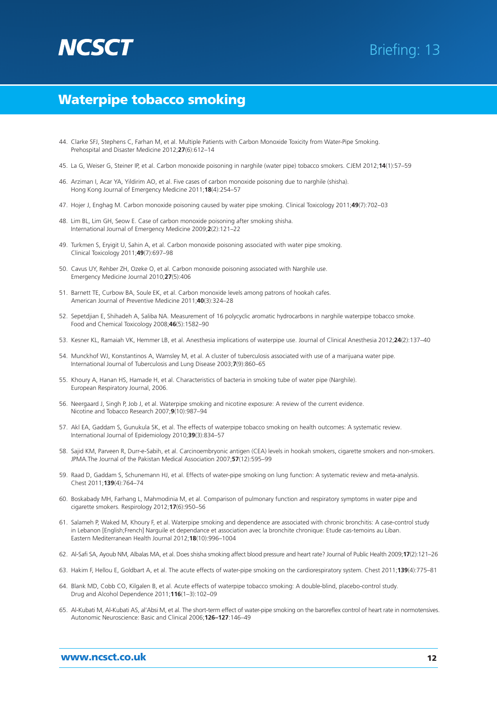# **NCSC**

# Briefing: 13

### Waterpipe tobacco smoking

- 44. Clarke SFJ, Stephens C, Farhan M, et al. Multiple Patients with Carbon Monoxide Toxicity from Water-Pipe Smoking. Prehospital and Disaster Medicine 2012;**27**(6):612–14
- 45. La G, Weiser G, Steiner IP, et al. Carbon monoxide poisoning in narghile (water pipe) tobacco smokers. CJEM 2012;**14**(1):57–59
- 46. Arziman I, Acar YA, Yildirim AO, et al. Five cases of carbon monoxide poisoning due to narghile (shisha). Hong Kong Journal of Emergency Medicine 2011;**18**(4):254–57
- 47. Hojer J, Enghag M. Carbon monoxide poisoning caused by water pipe smoking. Clinical Toxicology 2011;**49**(7):702–03
- 48. Lim BL, Lim GH, Seow E. Case of carbon monoxide poisoning after smoking shisha. International Journal of Emergency Medicine 2009;**2**(2):121–22
- 49. Turkmen S, Eryigit U, Sahin A, et al. Carbon monoxide poisoning associated with water pipe smoking. Clinical Toxicology 2011;**49**(7):697–98
- 50. Cavus UY, Rehber ZH, Ozeke O, et al. Carbon monoxide poisoning associated with Narghile use. Emergency Medicine Journal 2010;**27**(5):406
- 51. Barnett TE, Curbow BA, Soule EK, et al. Carbon monoxide levels among patrons of hookah cafes. American Journal of Preventive Medicine 2011;**40**(3):324–28
- 52. Sepetdjian E, Shihadeh A, Saliba NA. Measurement of 16 polycyclic aromatic hydrocarbons in narghile waterpipe tobacco smoke. Food and Chemical Toxicology 2008;**46**(5):1582–90
- 53. Kesner KL, Ramaiah VK, Hemmer LB, et al. Anesthesia implications of waterpipe use. Journal of Clinical Anesthesia 2012;**24**(2):137–40
- 54. Munckhof WJ, Konstantinos A, Wamsley M, et al. A cluster of tuberculosis associated with use of a marijuana water pipe. International Journal of Tuberculosis and Lung Disease 2003;**7**(9):860–65
- 55. Khoury A, Hanan HS, Hamade H, et al. Characteristics of bacteria in smoking tube of water pipe (Narghile). European Respiratory Journal, 2006.
- 56. Neergaard J, Singh P, Job J, et al. Waterpipe smoking and nicotine exposure: A review of the current evidence. Nicotine and Tobacco Research 2007;**9**(10):987–94
- 57. Akl EA, Gaddam S, Gunukula SK, et al. The effects of waterpipe tobacco smoking on health outcomes: A systematic review. International Journal of Epidemiology 2010;**39**(3):834–57
- 58. Sajid KM, Parveen R, Durr-e-Sabih, et al. Carcinoembryonic antigen (CEA) levels in hookah smokers, cigarette smokers and non-smokers. JPMA.The Journal of the Pakistan Medical Association 2007;**57**(12):595–99
- 59. Raad D, Gaddam S, Schunemann HJ, et al. Effects of water-pipe smoking on lung function: A systematic review and meta-analysis. Chest 2011;**139**(4):764–74
- 60. Boskabady MH, Farhang L, Mahmodinia M, et al. Comparison of pulmonary function and respiratory symptoms in water pipe and cigarette smokers. Respirology 2012;**17**(6):950–56
- 61. Salameh P, Waked M, Khoury F, et al. Waterpipe smoking and dependence are associated with chronic bronchitis: A case-control study in Lebanon [English;French] Narguile et dependance et association avec la bronchite chronique: Etude cas-temoins au Liban. Eastern Mediterranean Health Journal 2012;**18**(10):996–1004
- 62. Al-Safi SA, Ayoub NM, Albalas MA, et al. Does shisha smoking affect blood pressure and heart rate? Journal of Public Health 2009;**17**(2):121–26
- 63. Hakim F, Hellou E, Goldbart A, et al. The acute effects of water-pipe smoking on the cardiorespiratory system. Chest 2011;**139**(4):775–81
- 64. Blank MD, Cobb CO, Kilgalen B, et al. Acute effects of waterpipe tobacco smoking: A double-blind, placebo-control study. Drug and Alcohol Dependence 2011;**116**(1–3):102–09
- 65. Al-Kubati M, Al-Kubati AS, al'Absi M, et al. The short-term effect of water-pipe smoking on the baroreflex control of heart rate in normotensives. Autonomic Neuroscience: Basic and Clinical 2006;**126–127**:146–49